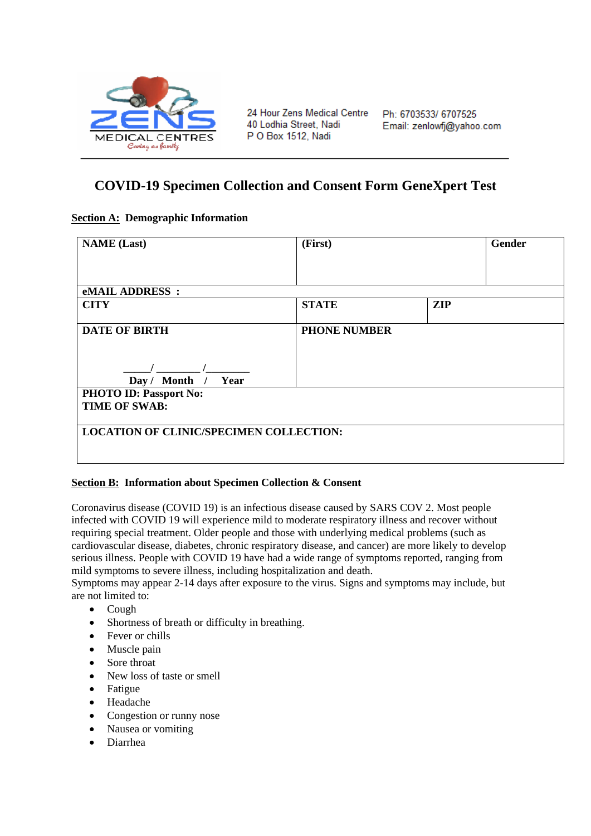

24 Hour Zens Medical Centre 40 Lodhia Street, Nadi P O Box 1512, Nadi

## **COVID-19 Specimen Collection and Consent Form GeneXpert Test**

## **Section A: Demographic Information**

| <b>NAME</b> (Last)                                    | (First)             | Gender     |
|-------------------------------------------------------|---------------------|------------|
|                                                       |                     |            |
| <b>eMAIL ADDRESS:</b>                                 |                     |            |
| <b>CITY</b>                                           | <b>STATE</b>        | <b>ZIP</b> |
| <b>DATE OF BIRTH</b><br>Day / Month / Year            | <b>PHONE NUMBER</b> |            |
| <b>PHOTO ID: Passport No:</b><br><b>TIME OF SWAB:</b> |                     |            |
| <b>LOCATION OF CLINIC/SPECIMEN COLLECTION:</b>        |                     |            |

## **Section B: Information about Specimen Collection & Consent**

Coronavirus disease (COVID 19) is an infectious disease caused by SARS COV 2. Most people infected with COVID 19 will experience mild to moderate respiratory illness and recover without requiring special treatment. Older people and those with underlying medical problems (such as cardiovascular disease, diabetes, chronic respiratory disease, and cancer) are more likely to develop serious illness. People with COVID 19 have had a wide range of symptoms reported, ranging from mild symptoms to severe illness, including hospitalization and death.

Symptoms may appear 2-14 days after exposure to the virus. Signs and symptoms may include, but are not limited to:

- Cough
- Shortness of breath or difficulty in breathing.
- Fever or chills
- Muscle pain
- Sore throat
- New loss of taste or smell
- Fatigue
- Headache
- Congestion or runny nose
- Nausea or vomiting
- Diarrhea